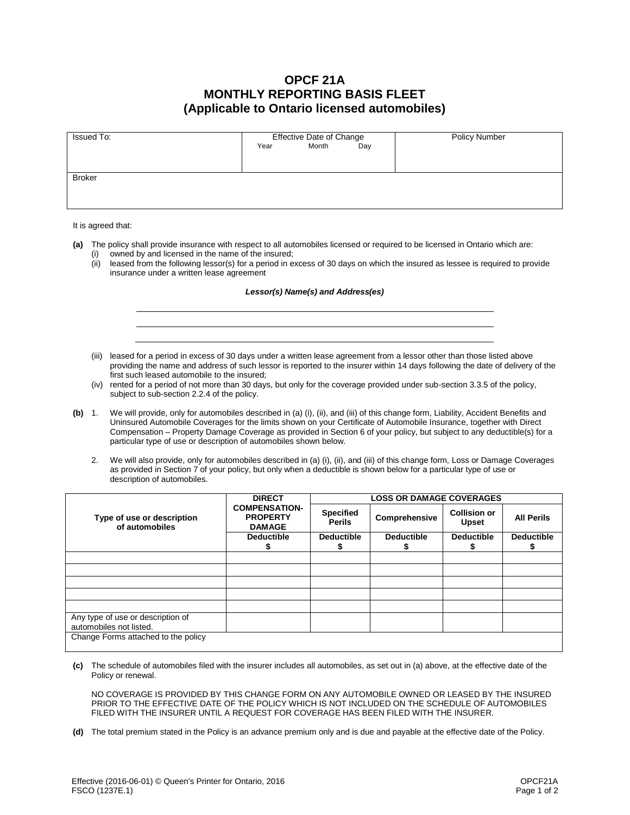## **OPCF 21A MONTHLY REPORTING BASIS FLEET (Applicable to Ontario licensed automobiles)**

| Issued To:    | Effective Date of Change<br>r Month Day |  |  | <b>Policy Number</b> |
|---------------|-----------------------------------------|--|--|----------------------|
|               | Year                                    |  |  |                      |
|               |                                         |  |  |                      |
| <b>Broker</b> |                                         |  |  |                      |
|               |                                         |  |  |                      |
|               |                                         |  |  |                      |
|               |                                         |  |  |                      |

## It is agreed that:

- **(a)** The policy shall provide insurance with respect to all automobiles licensed or required to be licensed in Ontario which are: owned by and licensed in the name of the insured;
	- (ii) leased from the following lessor(s) for a period in excess of 30 days on which the insured as lessee is required to provide insurance under a written lease agreement

## *Lessor(s) Name(s) and Address(es)*

- (iii) leased for a period in excess of 30 days under a written lease agreement from a lessor other than those listed above providing the name and address of such lessor is reported to the insurer within 14 days following the date of delivery of the first such leased automobile to the insured;
- (iv) rented for a period of not more than 30 days, but only for the coverage provided under sub-section 3.3.5 of the policy, subject to sub-section 2.2.4 of the policy.
- **(b)** 1. We will provide, only for automobiles described in (a) (i), (ii), and (iii) of this change form, Liability, Accident Benefits and Uninsured Automobile Coverages for the limits shown on your Certificate of Automobile Insurance, together with Direct Compensation – Property Damage Coverage as provided in Section 6 of your policy, but subject to any deductible(s) for a particular type of use or description of automobiles shown below.
	- 2. We will also provide, only for automobiles described in (a) (i), (ii), and (iii) of this change form, Loss or Damage Coverages as provided in Section 7 of your policy, but only when a deductible is shown below for a particular type of use or description of automobiles.

| Type of use or description<br>of automobiles                 | <b>DIRECT</b><br><b>COMPENSATION-</b><br><b>PROPERTY</b><br><b>DAMAGE</b> | <b>LOSS OR DAMAGE COVERAGES</b>   |                   |                                     |                   |  |
|--------------------------------------------------------------|---------------------------------------------------------------------------|-----------------------------------|-------------------|-------------------------------------|-------------------|--|
|                                                              |                                                                           | <b>Specified</b><br><b>Perils</b> | Comprehensive     | <b>Collision or</b><br><b>Upset</b> | <b>All Perils</b> |  |
|                                                              | <b>Deductible</b>                                                         | <b>Deductible</b>                 | <b>Deductible</b> | <b>Deductible</b>                   | <b>Deductible</b> |  |
|                                                              |                                                                           |                                   |                   |                                     |                   |  |
|                                                              |                                                                           |                                   |                   |                                     |                   |  |
|                                                              |                                                                           |                                   |                   |                                     |                   |  |
|                                                              |                                                                           |                                   |                   |                                     |                   |  |
|                                                              |                                                                           |                                   |                   |                                     |                   |  |
|                                                              |                                                                           |                                   |                   |                                     |                   |  |
| Any type of use or description of<br>automobiles not listed. |                                                                           |                                   |                   |                                     |                   |  |
| Change Forms attached to the policy                          |                                                                           |                                   |                   |                                     |                   |  |

**(c)** The schedule of automobiles filed with the insurer includes all automobiles, as set out in (a) above, at the effective date of the Policy or renewal.

NO COVERAGE IS PROVIDED BY THIS CHANGE FORM ON ANY AUTOMOBILE OWNED OR LEASED BY THE INSURED PRIOR TO THE EFFECTIVE DATE OF THE POLICY WHICH IS NOT INCLUDED ON THE SCHEDULE OF AUTOMOBILES FILED WITH THE INSURER UNTIL A REQUEST FOR COVERAGE HAS BEEN FILED WITH THE INSURER.

**(d)** The total premium stated in the Policy is an advance premium only and is due and payable at the effective date of the Policy.